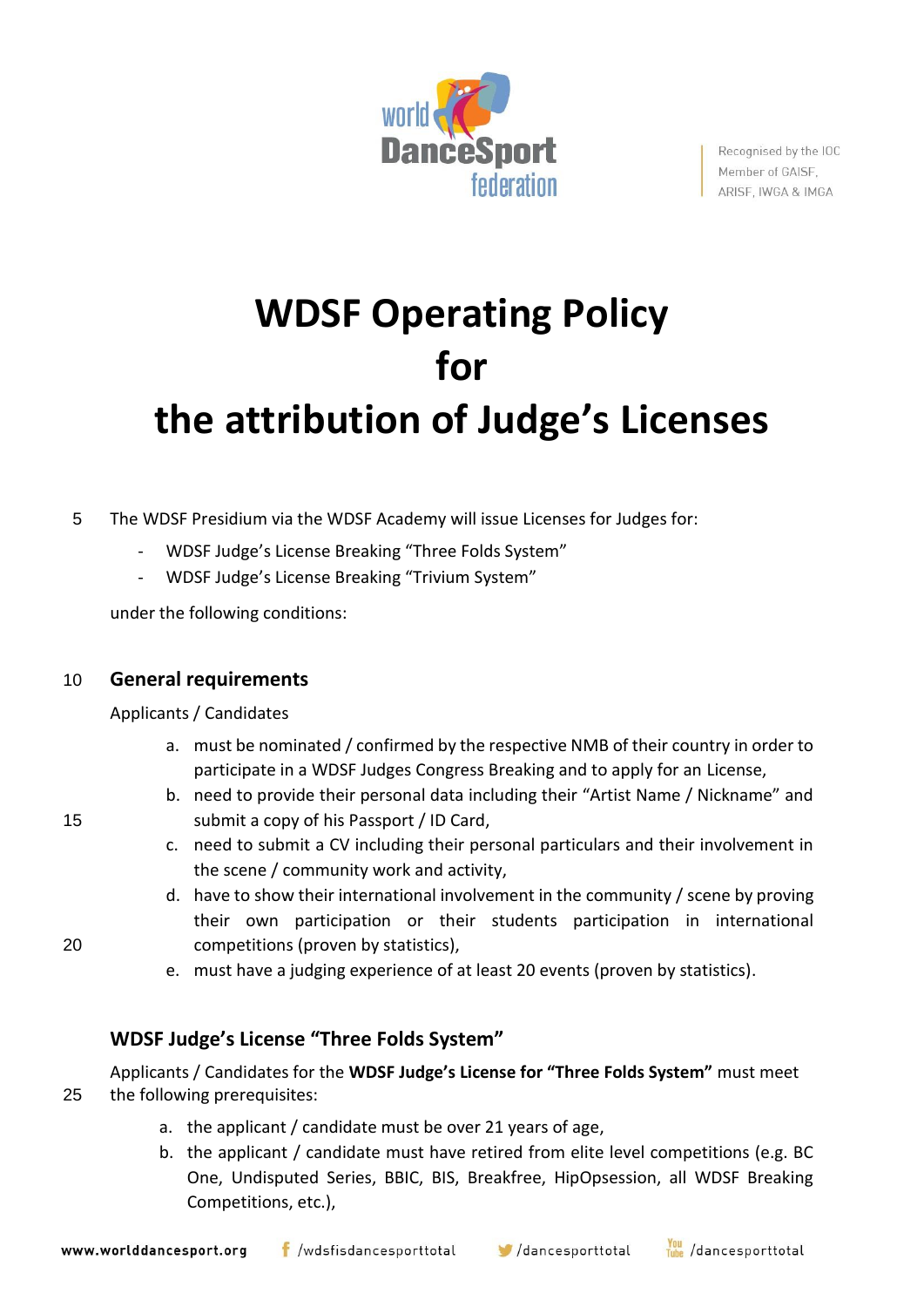

Recognised by the IOC Member of GAISF. ARISF, IWGA & IMGA

# **WDSF Operating Policy for the attribution of Judge's Licenses**

5 The WDSF Presidium via the WDSF Academy will issue Licenses for Judges for:

- WDSF Judge's License Breaking "Three Folds System"
- WDSF Judge's License Breaking "Trivium System"

under the following conditions:

## 10 **General requirements**

Applicants / Candidates

- a. must be nominated / confirmed by the respective NMB of their country in order to participate in a WDSF Judges Congress Breaking and to apply for an License,
- b. need to provide their personal data including their "Artist Name / Nickname" and 15 submit a copy of his Passport / ID Card,
	- c. need to submit a CV including their personal particulars and their involvement in the scene / community work and activity,
- d. have to show their international involvement in the community / scene by proving their own participation or their students participation in international 20 competitions (proven by statistics),
	- e. must have a judging experience of at least 20 events (proven by statistics).

# **WDSF Judge's License "Three Folds System"**

Applicants / Candidates for the **WDSF Judge's License for "Three Folds System"** must meet 25 the following prerequisites:

- a. the applicant / candidate must be over 21 years of age,
- b. the applicant / candidate must have retired from elite level competitions (e.g. BC One, Undisputed Series, BBIC, BIS, Breakfree, HipOpsession, all WDSF Breaking Competitions, etc.),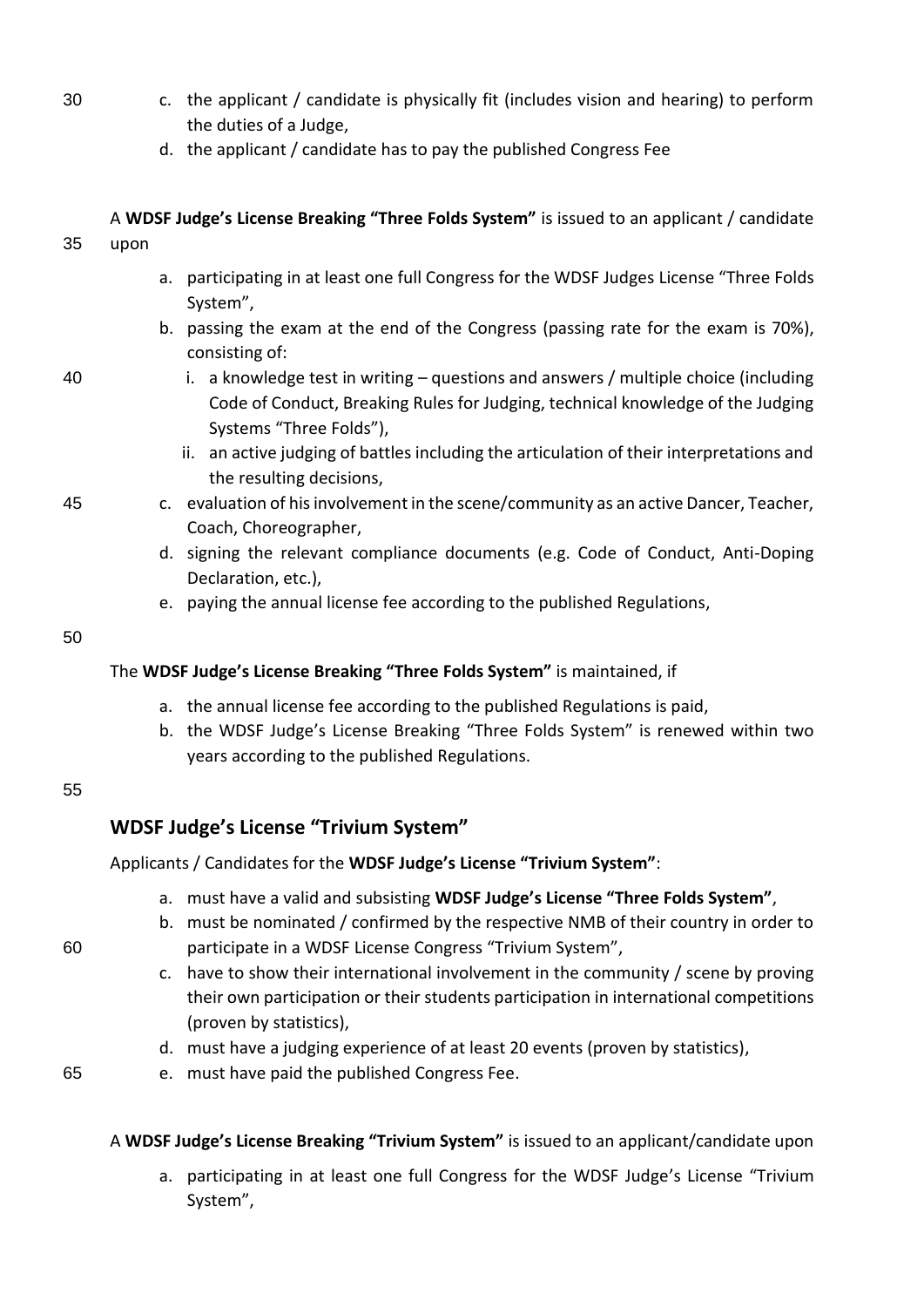- 30 c. the applicant / candidate is physically fit (includes vision and hearing) to perform the duties of a Judge,
	- d. the applicant / candidate has to pay the published Congress Fee

| 35 | upon                                                                     | A WDSF Judge's License Breaking "Three Folds System" is issued to an applicant / candidate                                                                                                          |  |  |
|----|--------------------------------------------------------------------------|-----------------------------------------------------------------------------------------------------------------------------------------------------------------------------------------------------|--|--|
|    | a.                                                                       | participating in at least one full Congress for the WDSF Judges License "Three Folds<br>System",                                                                                                    |  |  |
|    |                                                                          | b. passing the exam at the end of the Congress (passing rate for the exam is 70%),<br>consisting of:                                                                                                |  |  |
| 40 |                                                                          | i. a knowledge test in writing $-$ questions and answers / multiple choice (including<br>Code of Conduct, Breaking Rules for Judging, technical knowledge of the Judging<br>Systems "Three Folds"), |  |  |
|    |                                                                          | ii. an active judging of battles including the articulation of their interpretations and<br>the resulting decisions,                                                                                |  |  |
| 45 |                                                                          | c. evaluation of his involvement in the scene/community as an active Dancer, Teacher,<br>Coach, Choreographer,                                                                                      |  |  |
|    |                                                                          | d. signing the relevant compliance documents (e.g. Code of Conduct, Anti-Doping<br>Declaration, etc.),                                                                                              |  |  |
|    |                                                                          | e. paying the annual license fee according to the published Regulations,                                                                                                                            |  |  |
| 50 |                                                                          |                                                                                                                                                                                                     |  |  |
|    | The WDSF Judge's License Breaking "Three Folds System" is maintained, if |                                                                                                                                                                                                     |  |  |

- a. the annual license fee according to the published Regulations is paid,
- b. the WDSF Judge's License Breaking "Three Folds System" is renewed within two years according to the published Regulations.

#### 55

## **WDSF Judge's License "Trivium System"**

Applicants / Candidates for the **WDSF Judge's License "Trivium System"**:

- a. must have a valid and subsisting **WDSF Judge's License "Three Folds System"**,
- b. must be nominated / confirmed by the respective NMB of their country in order to 60 participate in a WDSF License Congress "Trivium System",
	- c. have to show their international involvement in the community / scene by proving their own participation or their students participation in international competitions (proven by statistics),
	- d. must have a judging experience of at least 20 events (proven by statistics),
- 65 e. must have paid the published Congress Fee.

## A **WDSF Judge's License Breaking "Trivium System"** is issued to an applicant/candidate upon

a. participating in at least one full Congress for the WDSF Judge's License "Trivium System",